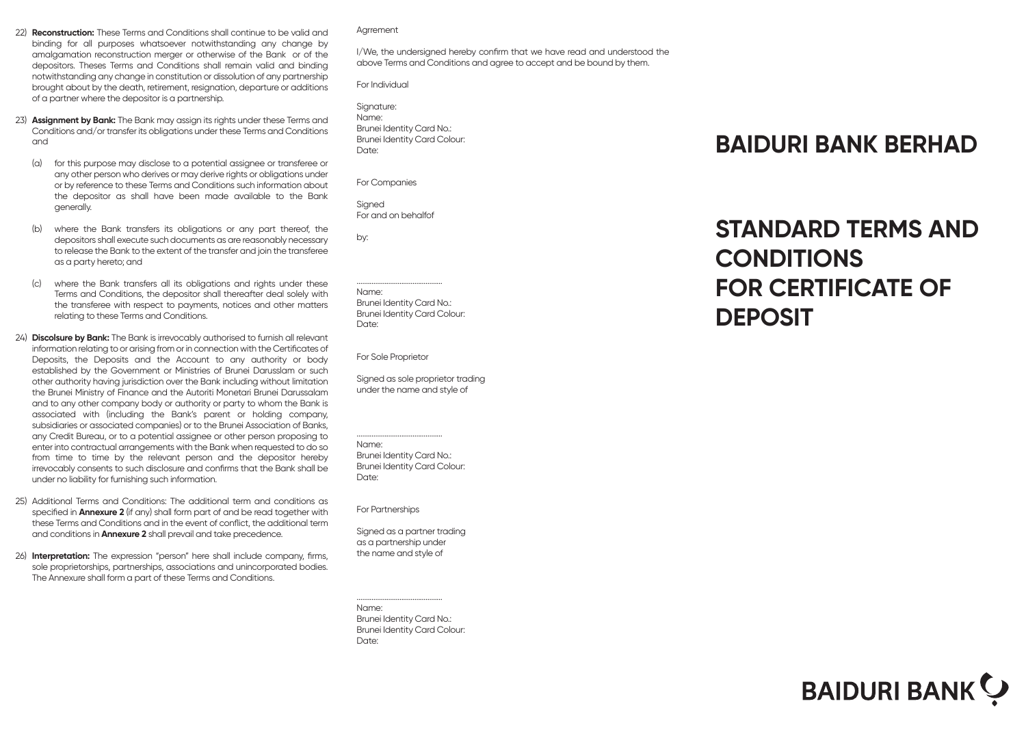- 22) **Reconstruction:** These Terms and Conditions shall continue to be valid and binding for all purposes whatsoever notwithstanding any change by amalgamation reconstruction merger or otherwise of the Bank or of the depositors. Theses Terms and Conditions shall remain valid and binding notwithstanding any change in constitution or dissolution of any partnership brought about by the death, retirement, resignation, departure or additions of a partner where the depositor is a partnership.
- 23) **Assignment by Bank:** The Bank may assign its rights under these Terms and Conditions and/or transfer its obligations under these Terms and Conditions and
	- (a) for this purpose may disclose to a potential assignee or transferee or any other person who derives or may derive rights or obligations under or by reference to these Terms and Conditions such information about the depositor as shall have been made available to the Bank generally.
	- (b) where the Bank transfers its obligations or any part thereof, the depositors shall execute such documents as are reasonably necessary to release the Bank to the extent of the transfer and join the transferee as a party hereto; and
	- (c) where the Bank transfers all its obligations and rights under these Terms and Conditions, the depositor shall thereafter deal solely with the transferee with respect to payments, notices and other matters relating to these Terms and Conditions.
- 24) **Discolsure by Bank:** The Bank is irrevocably authorised to furnish all relevant information relating to or arising from or in connection with the Certificates of Deposits, the Deposits and the Account to any authority or body established by the Government or Ministries of Brunei Darusslam or such other authority having jurisdiction over the Bank including without limitation the Brunei Ministry of Finance and the Autoriti Monetari Brunei Darussalam and to any other company body or authority or party to whom the Bank is associated with (including the Bank's parent or holding company, subsidiaries or associated companies) or to the Brunei Association of Banks, any Credit Bureau, or to a potential assignee or other person proposing to enter into contractual arrangements with the Bank when requested to do so from time to time by the relevant person and the depositor hereby irrevocably consents to such disclosure and confirms that the Bank shall be under no liability for furnishing such information.
- 25) Additional Terms and Conditions: The additional term and conditions as specified in **Annexure 2** (if any) shall form part of and be read together with these Terms and Conditions and in the event of conflict, the additional term and conditions in **Annexure 2** shall prevail and take precedence.
- 26) **Interpretation:** The expression "person" here shall include company, firms, sole proprietorships, partnerships, associations and unincorporated bodies. The Annexure shall form a part of these Terms and Conditions.

Agrrement

I/We, the undersigned hereby confirm that we have read and understood the above Terms and Conditions and agree to accept and be bound by them.

For Individual

| Signature:                   |
|------------------------------|
| Name:                        |
| Brunei Identity Card No.:    |
| Brunei Identity Card Colour: |
| Date:                        |
|                              |

For Companies

Signed For and on behalfof

by:

.............................................. Name: Brunei Identity Card No.: Brunei Identity Card Colour: Date:

For Sole Proprietor

Signed as sole proprietor trading under the name and style of

.............................................. Name:

Brunei Identity Card No.: Brunei Identity Card Colour: Date:

For Partnerships

Signed as a partner trading as a partnership under the name and style of

Name: Brunei Identity Card No.: Brunei Identity Card Colour: Date:

..............................................

## **BAIDURI BANK BERHAD**

## **STANDARD TERMS AND CONDITIONS FOR CERTIFICATE OF DEPOSIT**